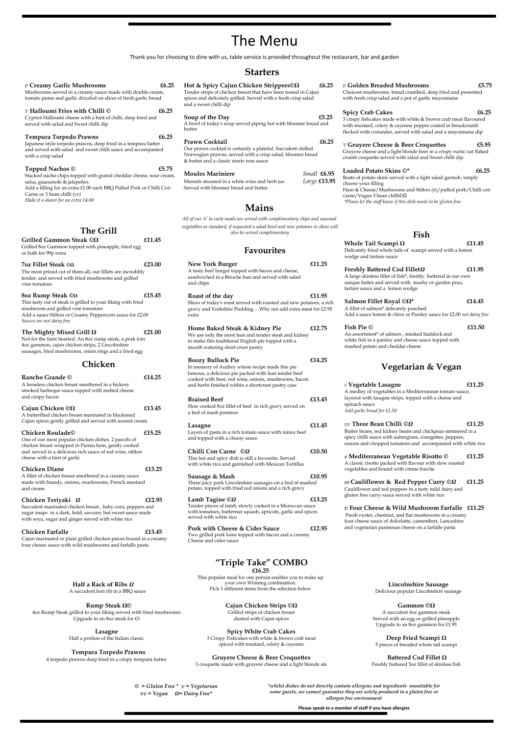# The Menu

Thank you for choosing to dine with us, table service is provided throughout the restaurant, bar and garden

- **Hot & Spicy Cajun Chicken Strippers©Ω £6.25** Tender strips of chicken breast that have been tossed in Cajun spices and delicately grilled. Served with a fresh crisp salad and a sweet chilli dip
- Soup of the Day **25.25** A bowl of today's soup served piping hot with bloomer bread and
- butter
- Prawn Cocktail **E6.25** Our prawn cocktail is certainly a plateful. Succulent chilled Norwegian prawns, served with a crisp salad, bloomer bread & butter and a classic marie rose sauce
- **Moules Mariniere** *Small* **£6.95**  Mussels steamed in a white wine and herb jus *Large* **£13.95**  Served with bloomer bread and butter

## *v* **Golden Breaded Mushrooms £5.75**

Choicest mushrooms, bread crumbed, deep fried and presented with fresh crisp salad and a pot of garlic mayonnaise

## **Spicy Crab Cakes £6.25**

3 crispy fishcakes made with white & brown crab meat flavoured with mustard, celery & cayenne pepper coated in breadcrumb flecked with coriander, served with salad and a mayonnaise dip

### *V* **Gruyere Cheese & Beer Croquettes £5.95**

Gruyere cheese and a light blonde beer in a crispy rustic oat flaked crumb croquette served with salad and Sweet chilli dip

### Loaded Potato Skins  $\mathbb{O}^*$  **25 £6.25**

Boats of potato skins served with a light salad garnish, simply choose your filling

Ham & Cheese/Mushrooms and Stilton (*v*)/pulled pork/Chilli con carne/Vegan 3 bean chilli©Ω

*\*Please let the staff know if this dish needs to be gluten free* 

 *© = Gluten Free \* v = Vegetarian vv = Vegan Ω= Dairy Free\**

*\*whilst dishes do not directly contain allergens and ingredients unsuitable for some guests, we cannot guarantee they are solely produced in a gluten free or allergen free environment* 

**Please speak to a member of staff if you have allergies**

## **Starters**

 **Rump Steak Ω©** 4oz Rump Steak grilled to your liking served with fried mushrooms Upgrade to an 8oz steak for £3

| $v$ Creamy Garlic Mushrooms<br>Mushrooms served in a creamy sauce made with double cream,<br>tomato puree and garlic drizzled on slices of fresh garlic bread                                                                                                             | £6.25  |  |  |  |
|---------------------------------------------------------------------------------------------------------------------------------------------------------------------------------------------------------------------------------------------------------------------------|--------|--|--|--|
| V Halloumi Fries with Chilli ©<br>Cypriot Halloumi cheese with a hint of chilli, deep fried and<br>served with salad and Sweet chilli dip                                                                                                                                 | £6.25  |  |  |  |
| <b>Tempura Torpedo Prawns</b><br>Japanese style torpedo prawns, deep fried in a tempura batter<br>and served with salad and sweet chilli sauce and accompanied<br>with a crisp salad                                                                                      | £6.25  |  |  |  |
| <b>Topped Nachos</b> ©<br>Stacked nacho chips topped with grated cheddar cheese, sour cream,<br>salsa, guacamole & jalapeños<br>Add a filling for an extra £1.00 each BBQ Pulled Pork or Chilli Con<br>Carne or 3 bean chilli (vv)<br>Make it a sharer for an extra £4.00 | £5.75  |  |  |  |
| The Grill                                                                                                                                                                                                                                                                 |        |  |  |  |
| Grilled Gammon Steak © $\Omega$<br>Grilled 8oz Gammon topped with pineapple, fried egg<br>or both for 99p extra                                                                                                                                                           | £11.45 |  |  |  |
| <b>70z Fillet Steak ©<math>\Omega</math></b><br>The most prized cut of them all, our fillets are incredibly<br>tender, and served with fried mushrooms and grilled<br>vine tomatoes                                                                                       | £23.00 |  |  |  |
| 80z Rump Steak ©Ω<br>This tasty cut of steak is grilled to your liking with fried<br>mushroom and grilled vine tomatoes<br>Add a sauce Stilton or Creamy Peppercorn sauce for £2.00<br>Sauces are not dairy free                                                          | £15.45 |  |  |  |
| The Mighty Mixed Grill $\Omega$<br>Not for the faint hearted. An 8oz rump steak, a pork loin<br>4oz gammon, cajun chicken strips, 2 Lincolnshire<br>sausages, fried mushrooms, onion rings and a fried egg                                                                | £21.00 |  |  |  |
| Chicken                                                                                                                                                                                                                                                                   |        |  |  |  |
| Rancho Grande ©<br>A boneless chicken breast smothered in a hickory<br>smoked barbeque sauce topped with melted cheese<br>and crispy bacon                                                                                                                                | £14.25 |  |  |  |
| Cajun Chicken $@ \Omega$<br>A butterflied chicken breast marinated in blackened<br>Cajun spices gently grilled and served with soured cream                                                                                                                               | £13.45 |  |  |  |
| Chicken Roulade©<br>One of our most popular chicken dishes. 2 parcels of<br>chicken breast wrapped in Parma ham, gently cooked<br>and served in a delicious rich sauce of red wine, stilton<br>cheese with a hint of garlic                                               | £15.25 |  |  |  |
| <b>Chicken Diane</b><br>A fillet of chicken breast smothered in a creamy sauce<br>made with brandy, onions, mushrooms, French mustard<br>and cream                                                                                                                        | £13.25 |  |  |  |
| Chicken Teriyaki Ω<br>Succulent marinated chicken breast, baby corn, peppers and<br>sugar snaps in a dark, bold, savoury but sweet sauce made<br>with soya, sugar and ginger served with white rice                                                                       | £12.95 |  |  |  |

**Lasagne** Half a portion of the Italian classic

#### **Tempura Torpedo Prawns**

4 torpedo prawns deep fried in a crispy tempura batter

**Cajun Chicken Strips ©Ω** Grilled strips of chicken breast dusted with Cajun spices

#### **Spicy White Crab Cakes**  3 Crispy Fishcakes with white & brown crab meat spiced with mustard, celery & cayenne

#### **Gruyere Cheese & Beer Croquettes**

3 croquette made with gruyere cheese and a light blonde ale

#### **Gammon ©Ω**

A succulent 4oz gammon steak Served with an egg or grilled pineapple Upgrade to an 8oz gammon for £1.95

**Deep Fried Scampi Ω**

5 pieces of breaded whole tail scampi

#### **Battered Cod Fillet Ω**

Freshly battered 5oz fillet of skinless fish

## **"Triple Take" COMBO £16.25**

This popular meal for one person enables you to make up your own Winning combination. Pick 3 different items from the selection below

## **Mains**

*All of our A' la carte meals are served with complimentary chips and seasonal vegetables as standard, if requested a salad bowl and new potatoes in skins will* **The Grill** *also be served complimentary* 

#### **Fish Pie © 211.50** An assortment\* of salmon , smoked haddock and white fish in a parsley and cheese sauce topped with mashed potato and cheddar cheese

#### **Chicken Farfalle £13.45**

Cajun marinated or plain grilled chicken pieces bound in a creamy four cheese sauce with wild mushrooms and farfalle pasta

## **Favourites**

- **New York Burger £11.25**  A tasty beef burger topped with bacon and cheese, sandwiched in a Brioche bun and served with salad and chips
- **Roast of the day £11.95**  Slices of today's roast served with roasted and new potatoes, a rich gravy and Yorkshire Pudding….Why not add extra meat for £2.95 extra
- **Home Baked Steak & Kidney Pie £12.75** We use only the most lean and tender steak and kidney to make this traditional English pie topped with a mouth watering short crust pastry
- **Boozy Bullock Pie**  $£14.25$ In memory of Audrey whose recipe made this pie famous, a delicious pie packed with lean tender beef cooked with beer, red wine, onions, mushrooms, bacon and herbs finished within a shortcrust pastry case
- **Braised Beef £13.45**  Slow cooked 8oz fillet of beef in rich gravy served on a bed of mash potatoes **Lasagne £11.45**  Layers of pasta in a rich tomato sauce with mince beef and topped with a cheesy sauce **Chilli Con Carne** *©Ω* **£10.50**  This hot and spicy dish is still a favourite. Served with white rice and garnished with Mexican Tortillas
- **Sausage & Mash £10.95**  Three juicy pork Lincolnshire sausages on a bed of mashed potato, topped with fried red onions and a rich gravy
- **Lamb Tagine** *©Ω* **£13.25**  Tender pieces of lamb, slowly cooked in a Moroccan sauce with tomatoes, butternut squash, apricots, garlic and spices served with white rice
- **Pork with Cheese & Cider Sauce £12.95**  Two grilled pork loins topped with bacon and a creamy Cheese and cider sauce

## **Fish**

| Whole Tail Scampi $\Omega$                                 | £11.45 |
|------------------------------------------------------------|--------|
| Delicately fried whole tails of scampi served with a lemon |        |
| wedge and tartare sauce                                    |        |

## **Freshly Battered Cod Fillet***Ω* **£11.95**

A large skinless fillet of fish\*, freshly battered in our own unique batter and served with mushy or garden peas, tartare sauce and a lemon wedge

## **Salmon Fillet Royal** *©***Ω\* £14.45**

A fillet of salmon\* delicately poached. Add a sauce lemon & chive or Parsley sauce for £2.00 *not dairy free* 

## **Vegetarian & Vegan**

#### *v* **Vegetable Lasagne £11.25** A medley of vegetables in a Mediterranean tomato sauce, layered with lasagne strips, topped with a cheese and spinach sauce *Add garlic bread for £2.50*

#### *vv* **Three Bean Chilli** *©Ω* **£11.25** Butter beans, red kidney beans and chickpeas simmered in a spicy chilli sauce with aubergines, courgettes, peppers, onions and chopped tomatoes and accompanied with white rice

*v* **Mediterranean Vegetable Risotto © £11.25** A classic risotto packed with flavour with slow roasted vegetables and bound with crème fraiche

*vv* **Cauliflower & Red Pepper Curry** *©Ω* **£11.25** Cauliflower and red peppers in a tasty mild dairy and gluten free curry sauce served with white rice

*v* **Four Cheese & Wild Mushroom Farfalle****£11.25**  Fresh oyster, chestnut, and flat mushrooms in a creamy four cheese sauce of dolcelatte, camembert, Lancashire and vegetarian parmesan cheese on a farfalle pasta

**Half a Rack of Ribs** *Ω* A succulent loin rib in a BBQ sauce

**Lincolnshire Sausage** Delicious popular Lincolnshire sausage